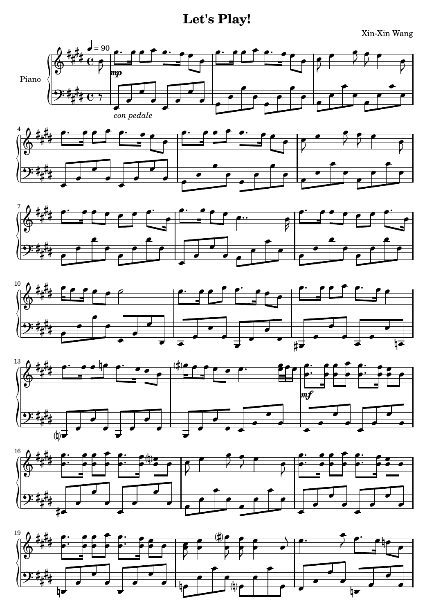Let's Play!

Xin-Xin Wang